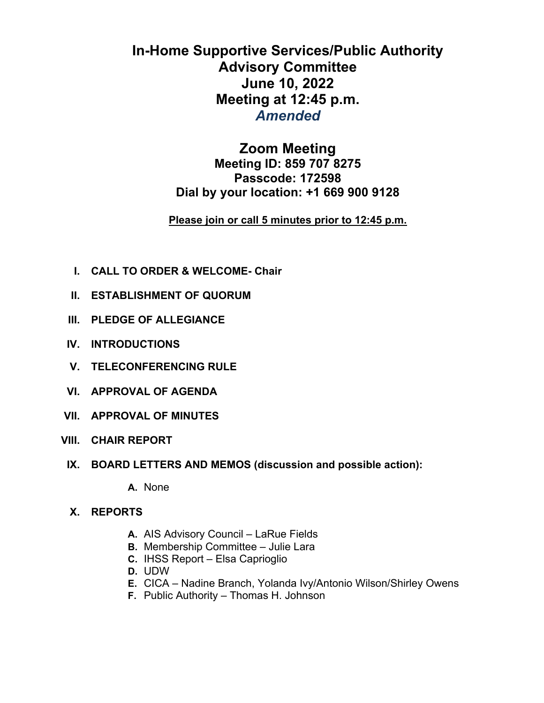# **In-Home Supportive Services/Public Authority Advisory Committee June 10, 2022 Meeting at 12:45 p.m.**  *Amended*

## **Zoom Meeting**

**Meeting ID: 859 707 8275 Passcode: 172598 Dial by your location: +1 669 900 9128** 

### **Please join or call 5 minutes prior to 12:45 p.m.**

- **I. CALL TO ORDER & WELCOME- Chair**
- **II. ESTABLISHMENT OF QUORUM**
- **III. PLEDGE OF ALLEGIANCE**
- **IV. INTRODUCTIONS**
- **V. TELECONFERENCING RULE**
- **VI. APPROVAL OF AGENDA**
- **VII. APPROVAL OF MINUTES**
- **VIII. CHAIR REPORT** 
	- **IX. BOARD LETTERS AND MEMOS (discussion and possible action):**

**A.** None

- **X. REPORTS** 
	- **A.** AIS Advisory Council LaRue Fields
	- **B.** Membership Committee Julie Lara
	- **C.** IHSS Report Elsa Caprioglio
	- **D.** UDW
	- **E.** CICA Nadine Branch, Yolanda Ivy/Antonio Wilson/Shirley Owens
	- **F.** Public Authority Thomas H. Johnson